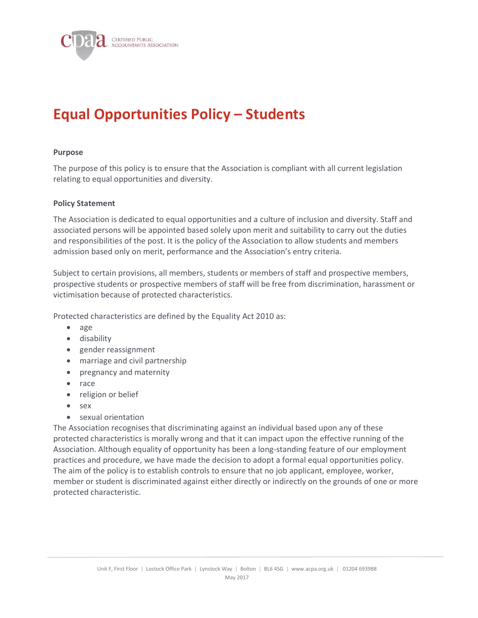

# Equal Opportunities Policy – Students

#### Purpose

The purpose of this policy is to ensure that the Association is compliant with all current legislation relating to equal opportunities and diversity.

#### Policy Statement

The Association is dedicated to equal opportunities and a culture of inclusion and diversity. Staff and associated persons will be appointed based solely upon merit and suitability to carry out the duties and responsibilities of the post. It is the policy of the Association to allow students and members admission based only on merit, performance and the Association's entry criteria.

Subject to certain provisions, all members, students or members of staff and prospective members, prospective students or prospective members of staff will be free from discrimination, harassment or victimisation because of protected characteristics.

Protected characteristics are defined by the Equality Act 2010 as:

- age
- disability
- gender reassignment
- marriage and civil partnership
- pregnancy and maternity
- race
- religion or belief
- sex
- sexual orientation

The Association recognises that discriminating against an individual based upon any of these protected characteristics is morally wrong and that it can impact upon the effective running of the Association. Although equality of opportunity has been a long-standing feature of our employment practices and procedure, we have made the decision to adopt a formal equal opportunities policy. The aim of the policy is to establish controls to ensure that no job applicant, employee, worker, member or student is discriminated against either directly or indirectly on the grounds of one or more protected characteristic.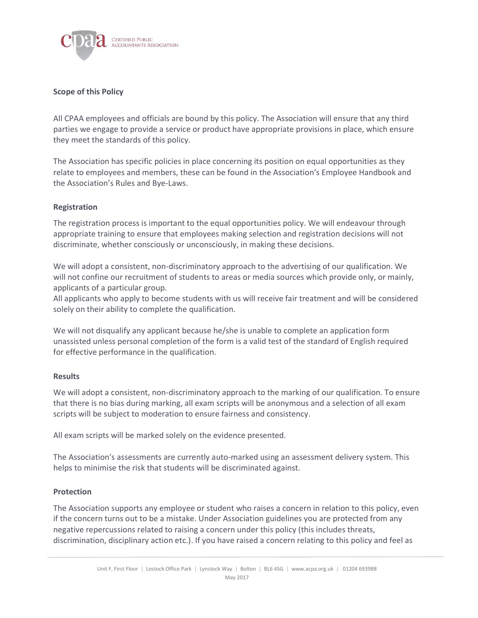

# Scope of this Policy

All CPAA employees and officials are bound by this policy. The Association will ensure that any third parties we engage to provide a service or product have appropriate provisions in place, which ensure they meet the standards of this policy.

The Association has specific policies in place concerning its position on equal opportunities as they relate to employees and members, these can be found in the Association's Employee Handbook and the Association's Rules and Bye-Laws.

# Registration

The registration process is important to the equal opportunities policy. We will endeavour through appropriate training to ensure that employees making selection and registration decisions will not discriminate, whether consciously or unconsciously, in making these decisions.

We will adopt a consistent, non-discriminatory approach to the advertising of our qualification. We will not confine our recruitment of students to areas or media sources which provide only, or mainly, applicants of a particular group.

All applicants who apply to become students with us will receive fair treatment and will be considered solely on their ability to complete the qualification.

We will not disqualify any applicant because he/she is unable to complete an application form unassisted unless personal completion of the form is a valid test of the standard of English required for effective performance in the qualification.

### **Results**

We will adopt a consistent, non-discriminatory approach to the marking of our qualification. To ensure that there is no bias during marking, all exam scripts will be anonymous and a selection of all exam scripts will be subject to moderation to ensure fairness and consistency.

All exam scripts will be marked solely on the evidence presented.

The Association's assessments are currently auto-marked using an assessment delivery system. This helps to minimise the risk that students will be discriminated against.

### Protection

The Association supports any employee or student who raises a concern in relation to this policy, even if the concern turns out to be a mistake. Under Association guidelines you are protected from any negative repercussions related to raising a concern under this policy (this includes threats, discrimination, disciplinary action etc.). If you have raised a concern relating to this policy and feel as